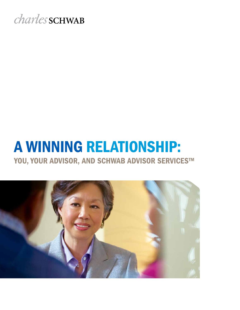# *charles* SCHWAB

# A WINNING RELATIONSHIP: YOU, YOUR ADVISOR, AND SCHWAB ADVISOR SERVICES™

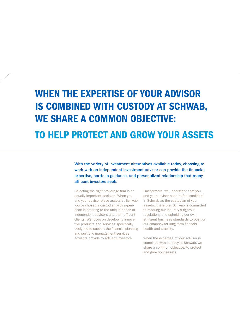# When the expertise of your advisor is combined with custody at Schwab, we share a common objective:

### to HELP protect and grow your assets

With the variety of investment alternatives available today, choosing to work with an independent investment advisor can provide the financial expertise, portfolio guidance, and personalized relationship that many affluent investors seek.

Selecting the right brokerage firm is an equally important decision. When you and your advisor place assets at Schwab, you've chosen a custodian with experience in catering to the unique needs of independent advisors and their affluent clients. We focus on developing innovative products and services specifically designed to support the financial planning and portfolio management services advisors provide to affluent investors.

Furthermore, we understand that you and your advisor need to feel confident in Schwab as the custodian of your assets. Therefore, Schwab is committed to meeting our industry's rigorous regulations and upholding our own stringent business standards to position our company for long-term financial health and stability.

When the expertise of your advisor is combined with custody at Schwab, we share a common objective: to protect and grow your assets.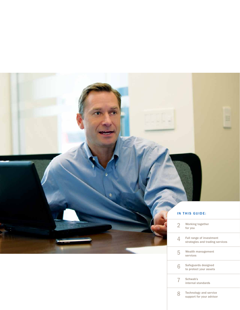### IN THIS GUIDE:

|   | Working together<br>for you                                 |
|---|-------------------------------------------------------------|
|   | Full range of investment<br>strategies and trading services |
| 5 | Wealth management<br>services                               |
|   | Safeguards designed<br>to protect your assets               |
|   | Schwab's<br>internal standards                              |
|   | <b>Technology and service</b><br>support for your advisor   |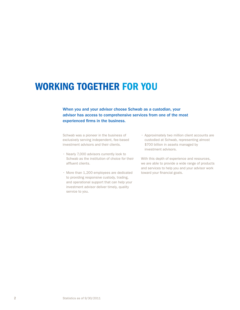### Working together for you

### When you and your advisor choose Schwab as a custodian, your advisor has access to comprehensive services from one of the most experienced firms in the business.

Schwab was a pioneer in the business of exclusively serving independent, fee-based investment advisors and their clients.

- Nearly 7,000 advisors currently look to Schwab as the institution of choice for their affluent clients.
- • More than 1,200 employees are dedicated to providing responsive custody, trading, and operational support that can help your investment advisor deliver timely, quality service to you.
- • Approximately two million client accounts are custodied at Schwab, representing almost \$700 billion in assets managed by investment advisors.

With this depth of experience and resources, we are able to provide a wide range of products and services to help you and your advisor work toward your financial goals.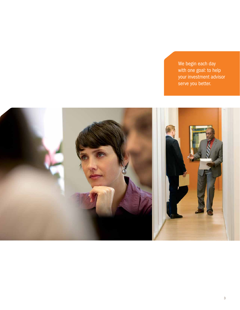We begin each day with one goal: to help your investment advisor serve you better.

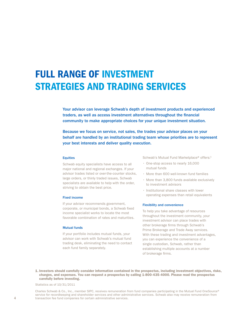# Full range of investment strategies and trading services

Your advisor can leverage Schwab's depth of investment products and experienced traders, as well as access investment alternatives throughout the financial community to make appropriate choices for your unique investment situation.

Because we focus on service, not sales, the trades your advisor places on your behalf are handled by an institutional trading team whose priorities are to represent your best interests and deliver quality execution.

#### **Equities**

Schwab equity specialists have access to all major national and regional exchanges. If your advisor trades listed or over-the-counter stocks, large orders, or thinly traded issues, Schwab specialists are available to help with the order, striving to obtain the best price.

### Fixed income

If your advisor recommends government, corporate, or municipal bonds, a Schwab fixed income specialist works to locate the most favorable combination of rates and maturities.

#### Mutual funds

If your portfolio includes mutual funds, your advisor can work with Schwab's mutual fund trading desk, eliminating the need to contact each fund family separately.

Schwab's Mutual Fund Marketplace® offers:<sup>1</sup>

- One-stop access to nearly 16,000 mutual funds
- • More than 600 well-known fund families
- • More than 3,800 funds available exclusively to investment advisors
- • Institutional share classes with lower operating expenses than retail equivalents

### Flexibility and convenience

To help you take advantage of resources throughout the investment community, your investment advisor can place trades with other brokerage firms through Schwab's Prime Brokerage and Trade Away services. With these trading and investment advantages, you can experience the convenience of a single custodian, Schwab, rather than establishing multiple accounts at a number of brokerage firms.

1. Investors should carefully consider information contained in the prospectus, including investment objectives, risks, charges, and expenses. You can request a prospectus by calling 1-800-435-4000. Please read the prospectus carefully before investing.

Statistics as of 10/31/2011

Charles Schwab & Co., Inc., member SIPC, receives remuneration from fund companies participating in the Mutual Fund OneSource® service for recordkeeping and shareholder services and other administrative services. Schwab also may receive remuneration from transaction fee fund companies for certain administrative services.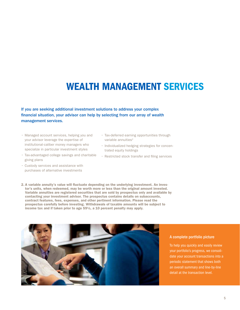## Wealth management services

If you are seeking additional investment solutions to address your complex financial situation, your advisor can help by selecting from our array of wealth management services.

- Managed account services, helping you and your advisor leverage the expertise of institutional-caliber money managers who specialize in particular investment styles
- Tax-advantaged college savings and charitable giving plans
- • Custody services and assistance with purchases of alternative investments
- Tax-deferred earning opportunities through variable annuities<sup>2</sup>
- Individualized hedging strategies for concentrated equity holdings
- Restricted stock transfer and filing services
- 2. A variable annuity's value will fluctuate depending on the underlying investment. An investor's units, when redeemed, may be worth more or less than the original amount invested. Variable annuities are registered securities that are sold by prospectus only and available by contacting your investment advisor. The prospectus contains details on subaccounts, contract features, fees, expenses, and other pertinent information. Please read the prospectus carefully before investing. Withdrawals of taxable amounts will be subject to income tax and if taken prior to age 59½, a 10 percent penalty may apply.



### A complete portfolio picture

To help you quickly and easily review your portfolio's progress, we consolidate your account transactions into a periodic statement that shows both an overall summary and line-by-line detail at the transaction level.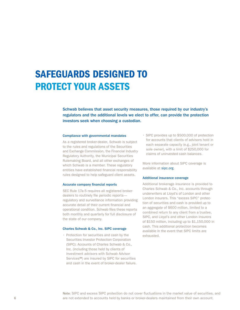# safeguards designed to protect your assets

Schwab believes that asset security measures, those required by our industry's regulators and the additional levels we elect to offer, can provide the protection investors seek when choosing a custodian.

#### Compliance with governmental mandates

As a registered broker-dealer, Schwab is subject to the rules and regulations of the Securities and Exchange Commission, the Financial Industry Regulatory Authority, the Municipal Securities Rulemaking Board, and all other exchanges of which Schwab is a member. These regulatory entities have established financial responsibility rules designed to help safeguard client assets.

### Accurate company financial reports

SEC Rule 17a-5 requires all registered brokerdealers to routinely file periodic reports regulatory and surveillance information providing accurate detail of their current financial and operational condition. Schwab files these reports both monthly and quarterly for full disclosure of the state of our company.

#### Charles Schwab & Co., Inc. SIPC coverage

• Protection for securities and cash by the Securities Investor Protection Corporation (SIPC): Accounts of Charles Schwab & Co., Inc. (including those held by clients of investment advisors with Schwab Advisor Services™) are insured by SIPC for securities and cash in the event of broker-dealer failure. • SIPC provides up to \$500,000 of protection for accounts that clients of advisors hold in each separate capacity (e.g., joint tenant or sole owner), with a limit of \$250,000 for claims of uninvested cash balances.

More information about SIPC coverage is available at [sipc.org.](http://www.sipc.org/)

#### Additional insurance coverage

Additional brokerage insurance is provided to Charles Schwab & Co., Inc. accounts through underwriters at Lloyd's of London and other London insurers. This "excess SIPC" protection of securities and cash is provided up to an aggregate of \$600 million, limited to a combined return to any client from a trustee, SIPC, and Lloyd's and other London insurers of \$150 million, including up to \$1,150,000 in cash. This additional protection becomes available in the event that SIPC limits are exhausted.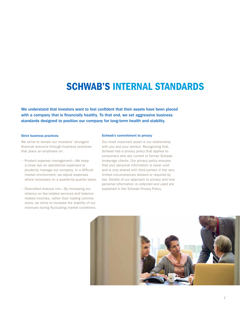## schwab's internal standards

We understand that investors want to feel confident that their assets have been placed with a company that is financially healthy. To that end, we set aggressive business standards designed to position our company for long-term health and stability.

#### Strict business practices

We strive to remain our investors' strongest financial resource through business practices that place an emphasis on:

- Prudent expense management—We keep a close eye on operational expenses to prudently manage our company. In a difficult market environment, we adjust expenses where necessary on a quarter-by-quarter basis.
- Diversified revenue mix—By increasing our reliance on fee-related services and balancerelated incomes, rather than trading commissions, we strive to increase the stability of our revenues during fluctuating market conditions.

### Schwab's commitment to privacy

Our most important asset is our relationship with you and your advisor. Recognizing that, Schwab has a privacy policy that applies to consumers who are current or former Schwab brokerage clients. Our privacy policy ensures that your personal information is never sold and is only shared with third parties in the very limited circumstances allowed or required by law. Details of our approach to privacy and how personal information is collected and used are explained in the Schwab Privacy Policy.

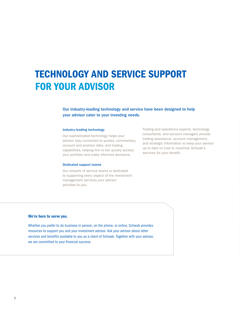# technology and service support for your advisor

### Our industry-leading technology and service have been designed to help your advisor cater to your investing needs.

### Industry-leading technology

Our sophisticated technology helps your advisor stay connected to quotes, commentary, account and position data, and trading capabilities, helping him or her quickly access your portfolio and make informed decisions.

#### Dedicated support teams

Our network of service teams is dedicated to supporting every aspect of the investment management services your advisor provides to you.

Trading and operations experts, technology consultants, and account managers provide trading assistance, account management, and strategic information to keep your advisor up to date on how to maximize Schwab's services for your benefit.

### We're here to serve you.

Whether you prefer to do business in person, on the phone, or online, Schwab provides resources to support you and your investment advisor. Ask your advisor about other services and benefits available to you as a client of Schwab. Together with your advisor, we are committed to your financial success.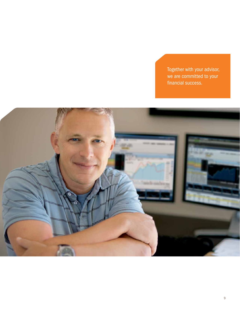Together with your advisor, we are committed to your financial success.